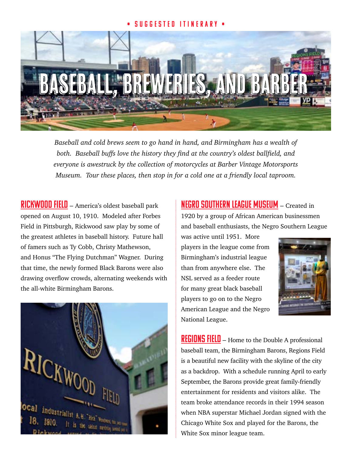## • Suggested Itinerary •



*Baseball and cold brews seem to go hand in hand, and Birmingham has a wealth of both. Baseball buffs love the history they find at the country's oldest ballfield, and everyone is awestruck by the collection of motorcycles at Barber Vintage Motorsports Museum. Tour these places, then stop in for a cold one at a friendly local taproom.*

RICKWOOD FIELD – America's oldest baseball park opened on August 10, 1910. Modeled after Forbes Field in Pittsburgh, Rickwood saw play by some of the greatest athletes in baseball history. Future hall of famers such as Ty Cobb, Christy Mathewson, and Honus "The Flying Dutchman" Wagner. During that time, the newly formed Black Barons were also drawing overflow crowds, alternating weekends with the all-white Birmingham Barons.



[Negro Southern League Museum](http://www.birminghamnslm.org) – Created in 1920 by a group of African American businessmen and baseball enthusiasts, the Negro Southern League

was active until 1951. More players in the league come from Birmingham's industrial league than from anywhere else. The NSL served as a feeder route for many great black baseball players to go on to the Negro American League and the Negro National League.



REGIONS FIELD – Home to the Double A professional baseball team, the Birmingham Barons, Regions Field is a beautiful new facility with the skyline of the city as a backdrop. With a schedule running April to early September, the Barons provide great family-friendly entertainment for residents and visitors alike. The team broke attendance records in their 1994 season when NBA superstar Michael Jordan signed with the Chicago White Sox and played for the Barons, the White Sox minor league team.